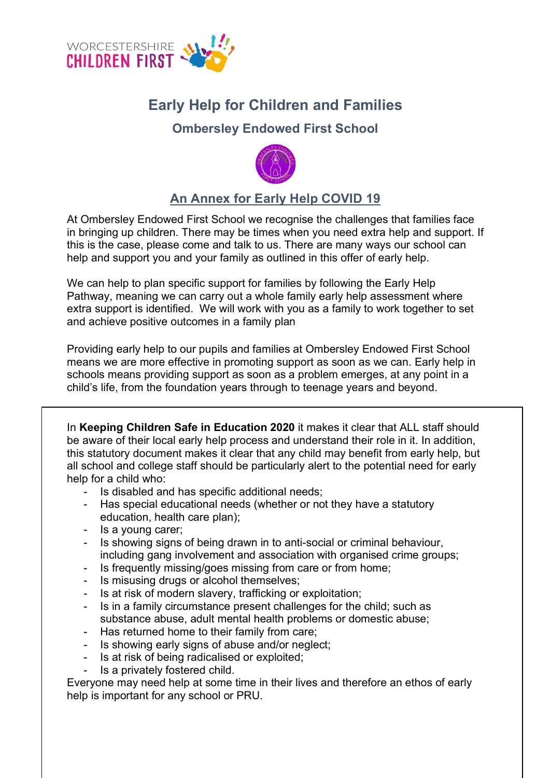

## **Early Help for Children and Families**

## **Ombersley Endowed First School**



## **An Annex for Early Help COVID 19**

At Ombersley Endowed First School we recognise the challenges that families face in bringing up children. There may be times when you need extra help and support. If this is the case, please come and talk to us. There are many ways our school can help and support you and your family as outlined in this offer of early help.

We can help to plan specific support for families by following the Early Help Pathway, meaning we can carry out a whole family early help assessment where extra support is identified. We will work with you as a family to work together to set and achieve positive outcomes in a family plan

Providing early help to our pupils and families at Ombersley Endowed First School means we are more effective in promoting support as soon as we can. Early help in schools means providing support as soon as a problem emerges, at any point in a child's life, from the foundation years through to teenage years and beyond.

In **Keeping Children Safe in Education 2020** it makes it clear that ALL staff should be aware of their local early help process and understand their role in it. In addition, this statutory document makes it clear that any child may benefit from early help, but all school and college staff should be particularly alert to the potential need for early help for a child who:

- Is disabled and has specific additional needs;
- Has special educational needs (whether or not they have a statutory education, health care plan);
- Is a young carer;
- Is showing signs of being drawn in to anti-social or criminal behaviour, including gang involvement and association with organised crime groups;
- Is frequently missing/goes missing from care or from home;
- Is misusing drugs or alcohol themselves;
- Is at risk of modern slavery, trafficking or exploitation;
- Is in a family circumstance present challenges for the child; such as substance abuse, adult mental health problems or domestic abuse;
- Has returned home to their family from care;
- Is showing early signs of abuse and/or neglect;
- Is at risk of being radicalised or exploited;
- Is a privately fostered child.

Everyone may need help at some time in their lives and therefore an ethos of early help is important for any school or PRU.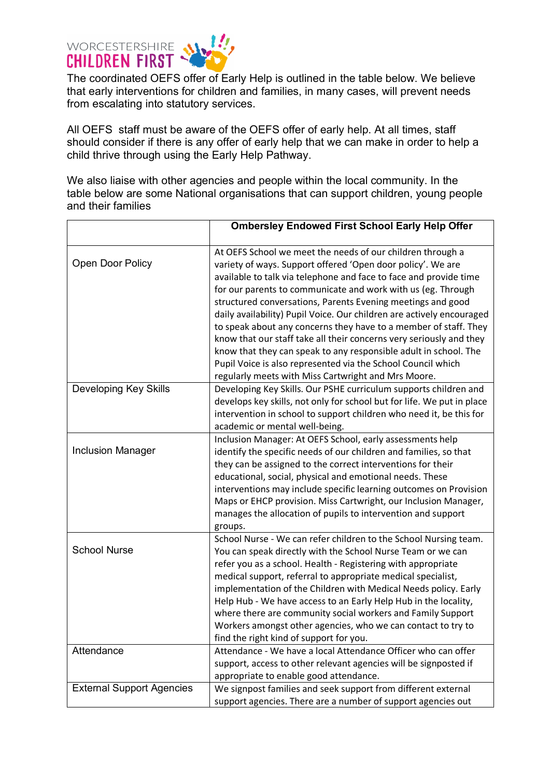

The coordinated OEFS offer of Early Help is outlined in the table below. We believe that early interventions for children and families, in many cases, will prevent needs from escalating into statutory services.

All OEFS staff must be aware of the OEFS offer of early help. At all times, staff should consider if there is any offer of early help that we can make in order to help a child thrive through using the Early Help Pathway.

We also liaise with other agencies and people within the local community. In the table below are some National organisations that can support children, young people and their families

|                                  | <b>Ombersley Endowed First School Early Help Offer</b>                                                                                                                                                                                                                                                                                                                                                                                                                                                                                                                                                                                                                                                                                       |
|----------------------------------|----------------------------------------------------------------------------------------------------------------------------------------------------------------------------------------------------------------------------------------------------------------------------------------------------------------------------------------------------------------------------------------------------------------------------------------------------------------------------------------------------------------------------------------------------------------------------------------------------------------------------------------------------------------------------------------------------------------------------------------------|
| Open Door Policy                 | At OEFS School we meet the needs of our children through a<br>variety of ways. Support offered 'Open door policy'. We are<br>available to talk via telephone and face to face and provide time<br>for our parents to communicate and work with us (eg. Through<br>structured conversations, Parents Evening meetings and good<br>daily availability) Pupil Voice. Our children are actively encouraged<br>to speak about any concerns they have to a member of staff. They<br>know that our staff take all their concerns very seriously and they<br>know that they can speak to any responsible adult in school. The<br>Pupil Voice is also represented via the School Council which<br>regularly meets with Miss Cartwright and Mrs Moore. |
| <b>Developing Key Skills</b>     | Developing Key Skills. Our PSHE curriculum supports children and<br>develops key skills, not only for school but for life. We put in place<br>intervention in school to support children who need it, be this for<br>academic or mental well-being.                                                                                                                                                                                                                                                                                                                                                                                                                                                                                          |
| <b>Inclusion Manager</b>         | Inclusion Manager: At OEFS School, early assessments help<br>identify the specific needs of our children and families, so that<br>they can be assigned to the correct interventions for their<br>educational, social, physical and emotional needs. These<br>interventions may include specific learning outcomes on Provision<br>Maps or EHCP provision. Miss Cartwright, our Inclusion Manager,<br>manages the allocation of pupils to intervention and support<br>groups.                                                                                                                                                                                                                                                                 |
| <b>School Nurse</b>              | School Nurse - We can refer children to the School Nursing team.<br>You can speak directly with the School Nurse Team or we can<br>refer you as a school. Health - Registering with appropriate<br>medical support, referral to appropriate medical specialist,<br>implementation of the Children with Medical Needs policy. Early<br>Help Hub - We have access to an Early Help Hub in the locality,<br>where there are community social workers and Family Support<br>Workers amongst other agencies, who we can contact to try to<br>find the right kind of support for you.                                                                                                                                                              |
| Attendance                       | Attendance - We have a local Attendance Officer who can offer<br>support, access to other relevant agencies will be signposted if<br>appropriate to enable good attendance.                                                                                                                                                                                                                                                                                                                                                                                                                                                                                                                                                                  |
| <b>External Support Agencies</b> | We signpost families and seek support from different external<br>support agencies. There are a number of support agencies out                                                                                                                                                                                                                                                                                                                                                                                                                                                                                                                                                                                                                |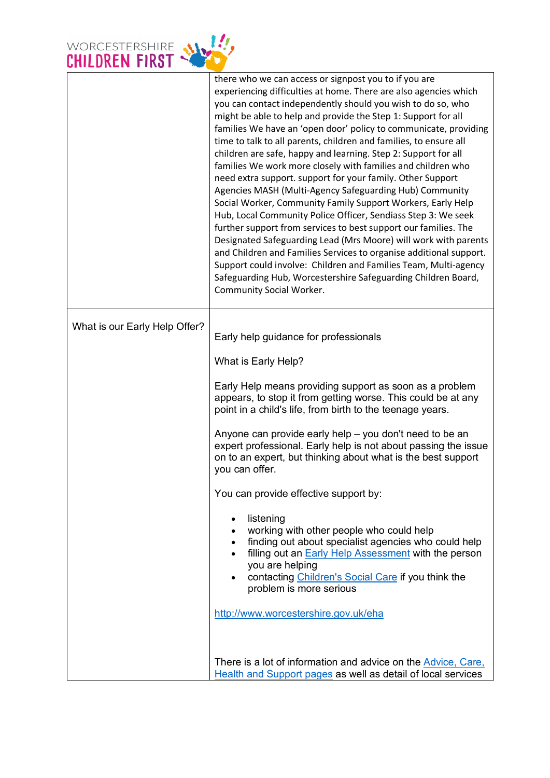

|                               | there who we can access or signpost you to if you are<br>experiencing difficulties at home. There are also agencies which<br>you can contact independently should you wish to do so, who<br>might be able to help and provide the Step 1: Support for all<br>families We have an 'open door' policy to communicate, providing<br>time to talk to all parents, children and families, to ensure all<br>children are safe, happy and learning. Step 2: Support for all<br>families We work more closely with families and children who<br>need extra support. support for your family. Other Support<br>Agencies MASH (Multi-Agency Safeguarding Hub) Community<br>Social Worker, Community Family Support Workers, Early Help<br>Hub, Local Community Police Officer, Sendiass Step 3: We seek<br>further support from services to best support our families. The<br>Designated Safeguarding Lead (Mrs Moore) will work with parents<br>and Children and Families Services to organise additional support.<br>Support could involve: Children and Families Team, Multi-agency<br>Safeguarding Hub, Worcestershire Safeguarding Children Board,<br>Community Social Worker. |
|-------------------------------|---------------------------------------------------------------------------------------------------------------------------------------------------------------------------------------------------------------------------------------------------------------------------------------------------------------------------------------------------------------------------------------------------------------------------------------------------------------------------------------------------------------------------------------------------------------------------------------------------------------------------------------------------------------------------------------------------------------------------------------------------------------------------------------------------------------------------------------------------------------------------------------------------------------------------------------------------------------------------------------------------------------------------------------------------------------------------------------------------------------------------------------------------------------------------|
| What is our Early Help Offer? | Early help guidance for professionals<br>What is Early Help?                                                                                                                                                                                                                                                                                                                                                                                                                                                                                                                                                                                                                                                                                                                                                                                                                                                                                                                                                                                                                                                                                                              |
|                               | Early Help means providing support as soon as a problem<br>appears, to stop it from getting worse. This could be at any<br>point in a child's life, from birth to the teenage years.                                                                                                                                                                                                                                                                                                                                                                                                                                                                                                                                                                                                                                                                                                                                                                                                                                                                                                                                                                                      |
|                               | Anyone can provide early help - you don't need to be an<br>expert professional. Early help is not about passing the issue<br>on to an expert, but thinking about what is the best support<br>you can offer.                                                                                                                                                                                                                                                                                                                                                                                                                                                                                                                                                                                                                                                                                                                                                                                                                                                                                                                                                               |
|                               | You can provide effective support by:                                                                                                                                                                                                                                                                                                                                                                                                                                                                                                                                                                                                                                                                                                                                                                                                                                                                                                                                                                                                                                                                                                                                     |
|                               | listening<br>$\bullet$<br>working with other people who could help<br>$\bullet$<br>finding out about specialist agencies who could help<br>$\bullet$<br>filling out an <b>Early Help Assessment</b> with the person<br>$\bullet$<br>you are helping<br>contacting Children's Social Care if you think the<br>problem is more serious                                                                                                                                                                                                                                                                                                                                                                                                                                                                                                                                                                                                                                                                                                                                                                                                                                      |
|                               | http://www.worcestershire.gov.uk/eha                                                                                                                                                                                                                                                                                                                                                                                                                                                                                                                                                                                                                                                                                                                                                                                                                                                                                                                                                                                                                                                                                                                                      |
|                               | There is a lot of information and advice on the Advice, Care,<br>Health and Support pages as well as detail of local services                                                                                                                                                                                                                                                                                                                                                                                                                                                                                                                                                                                                                                                                                                                                                                                                                                                                                                                                                                                                                                             |